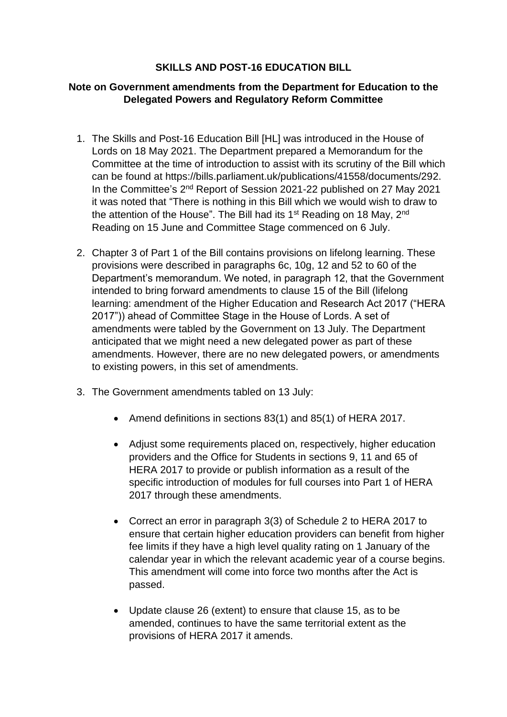## **SKILLS AND POST-16 EDUCATION BILL**

## **Note on Government amendments from the Department for Education to the Delegated Powers and Regulatory Reform Committee**

- 1. The Skills and Post-16 Education Bill [HL] was introduced in the House of Lords on 18 May 2021. The Department prepared a Memorandum for the Committee at the time of introduction to assist with its scrutiny of the Bill which can be found at https://bills.parliament.uk/publications/41558/documents/292. In the Committee's 2<sup>nd</sup> Report of Session 2021-22 published on 27 May 2021 it was noted that "There is nothing in this Bill which we would wish to draw to the attention of the House". The Bill had its  $1<sup>st</sup>$  Reading on 18 May,  $2<sup>nd</sup>$ Reading on 15 June and Committee Stage commenced on 6 July.
- 2. Chapter 3 of Part 1 of the Bill contains provisions on lifelong learning. These provisions were described in paragraphs 6c, 10g, 12 and 52 to 60 of the Department's memorandum. We noted, in paragraph 12, that the Government intended to bring forward amendments to clause 15 of the Bill (lifelong learning: amendment of the Higher Education and Research Act 2017 ("HERA 2017")) ahead of Committee Stage in the House of Lords. A set of amendments were tabled by the Government on 13 July. The Department anticipated that we might need a new delegated power as part of these amendments. However, there are no new delegated powers, or amendments to existing powers, in this set of amendments.
- 3. The Government amendments tabled on 13 July:
	- Amend definitions in sections 83(1) and 85(1) of HERA 2017.
	- Adjust some requirements placed on, respectively, higher education providers and the Office for Students in sections 9, 11 and 65 of HERA 2017 to provide or publish information as a result of the specific introduction of modules for full courses into Part 1 of HERA 2017 through these amendments.
	- Correct an error in paragraph 3(3) of Schedule 2 to HERA 2017 to ensure that certain higher education providers can benefit from higher fee limits if they have a high level quality rating on 1 January of the calendar year in which the relevant academic year of a course begins. This amendment will come into force two months after the Act is passed.
	- Update clause 26 (extent) to ensure that clause 15, as to be amended, continues to have the same territorial extent as the provisions of HERA 2017 it amends.